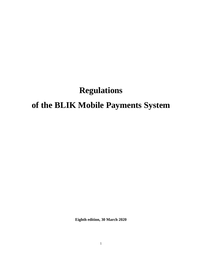# **Regulations**

# **of the BLIK Mobile Payments System**

**Eighth edition, 30 March 2020**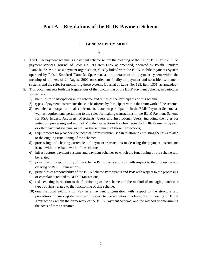# **Part A – Regulations of the BLIK Payment Scheme**

#### **I. GENERAL PROVISIONS**

§ 1.

- 1. The BLIK payment scheme is a payment scheme within the meaning of the Act of 19 August 2011 on payment services (Journal of Laws No. 199, item 1175, as amended) operated by Polski Standard Płatności Sp. z o.o. as a payment organisation, closely linked with the BLIK Mobile Payments System operated by Polski Standard Płatności Sp. z o.o. as an operator of the payment system within the meaning of the Act of 24 August 2001 on settlement finality in payment and securities settlement systems and the rules for monitoring these systems (Journal of Laws No. 123, item 1351, as amended).
- 2. This document sets forth the Regulations of the functioning of the BLIK Payment Scheme, in particular it specifies:
	- 1) the rules for participation in the scheme and duties of the Participants of this scheme;
	- 2) types of payment instruments that can be offered by Participant within the framework of the scheme;
	- 3) technical and organisational requirements related to participation in the BLIK Payment Scheme, as well as requirements pertaining to the rules for making transactions in the BLIK Payment Scheme for PSP, Issuers, Acquirers, Merchants, Users and Institutional Users, including the rules for initiation, processing and input of Mobile Transactions for clearing in the BLIK Payments System or other payment systems, as well as the settlement of these transactions;
	- 4) requirements for providers the technical infrastructure used in relation to entrusting the tasks related to the ongoing functioning of the scheme;
	- 5) processing and clearing currencies of payment transactions made using the payment instruments issued within the framework of the scheme;
	- 6) infrastructure, payment systems and payment schemes to which the functioning of the scheme will be related;
	- 7) principles of responsibility of the scheme Participants and PSP with respect to the processing and clearing of BLIK Transactions;
	- 8) principles of responsibility of the BLIK scheme Participants and PSP with respect to the processing of complaints related to BLIK Transactions;
	- 9) risks existing in relation to the functioning of the scheme and the method of managing particular types of risks related to the functioning of this scheme;
	- 10) organisational solutions of PSP as a payment organisation with respect to the structure and procedures for making decision with respect to the activities involving the processing of BLIK Transactions within the framework of the BLIK Payment Scheme, and the method of determining the costs of these activities.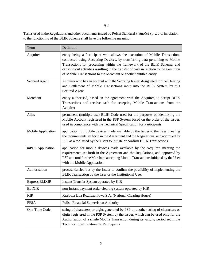Terms used in the Regulations and other documents issued by Polski Standard Płatności Sp. z o.o. in relation to the functioning of the BLIK Scheme shall have the following meaning:

| Term                  | Definition                                                                                                                                                                                                                                                                                                                                                                                            |
|-----------------------|-------------------------------------------------------------------------------------------------------------------------------------------------------------------------------------------------------------------------------------------------------------------------------------------------------------------------------------------------------------------------------------------------------|
| Acquirer              | entity being a Participant who allows the execution of Mobile Transactions<br>conducted using Accepting Devices, by transferring data pertaining to Mobile<br>Transactions for processing within the framework of the BLIK Scheme, and<br>carrying out activities resulting in the transfer of cash in relation to the execution<br>of Mobile Transactions to the Merchant or another entitled entity |
| <b>Secured Agent</b>  | Acquirer who has an account with the Securing Issuer, designated for the Clearing<br>and Settlement of Mobile Transactions input into the BLIK System by this<br>Secured Agent                                                                                                                                                                                                                        |
| Merchant              | entity authorised, based on the agreement with the Acquirer, to accept BLIK<br>Transactions and receive cash for accepting Mobile Transactions from the<br>Acquirer                                                                                                                                                                                                                                   |
| Alias                 | permanent (multiple-use) BLIK Code used for the purposes of identifying the<br>Mobile Account registered in the PSP System based on the order of the Issuer,<br>used in compliance with the Technical Specification for Participants                                                                                                                                                                  |
| Mobile Application    | application for mobile devices made available by the Issuer to the User, meeting<br>the requirements set forth in the Agreement and the Regulations, and approved by<br>PSP as a tool used by the Users to initiate or confirm BLIK Transactions                                                                                                                                                      |
| mPOS Application      | application for mobile devices made available by the Acquirer, meeting the<br>requirements set forth in the Agreement and the Regulations, and approved by<br>PSP as a tool for the Merchant accepting Mobile Transactions initiated by the User<br>with the Mobile Application                                                                                                                       |
| Authorisation         | process carried out by the Issuer to confirm the possibility of implementing the<br>BLIK Transaction by the User or the Institutional User                                                                                                                                                                                                                                                            |
| <b>Express ELIXIR</b> | Instant Transfer System operated by KIR                                                                                                                                                                                                                                                                                                                                                               |
| <b>ELIXIR</b>         | non-instant payment order clearing system operated by KIR                                                                                                                                                                                                                                                                                                                                             |
| <b>KIR</b>            | Krajowa Izba Rozliczeniowa S.A. (National Clearing House)                                                                                                                                                                                                                                                                                                                                             |
| <b>PFSA</b>           | Polish Financial Supervision Authority                                                                                                                                                                                                                                                                                                                                                                |
| One-Time Code         | string of characters or digits generated by PSP or another string of characters or<br>digits registered in the PSP System by the Issuer, which can be used only for the<br>Authorisation of a single Mobile Transaction during its validity period set in the<br><b>Technical Specification for Participants</b>                                                                                      |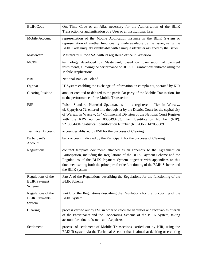| <b>BLIK Code</b>                                     | One-Time Code or an Alias necessary for the Authorisation of the BLIK<br>Transaction or authentication of a User or an Institutional User                                                                                                                                                                                                                                                                 |
|------------------------------------------------------|-----------------------------------------------------------------------------------------------------------------------------------------------------------------------------------------------------------------------------------------------------------------------------------------------------------------------------------------------------------------------------------------------------------|
| Mobile Account                                       | representation of the Mobile Application instance in the BLIK System or<br>representation of another functionality made available by the Issuer, using the<br>BLIK Code uniquely identifiable with a unique identifier assigned by the Issuer                                                                                                                                                             |
| Mastercard                                           | Mastercard Europe SA, with its registered office in Waterloo                                                                                                                                                                                                                                                                                                                                              |
| <b>MCBP</b>                                          | technology developed by Mastercard, based on tokenisation of payment<br>instruments, allowing the performance of BLIK C Transactions initiated using the<br><b>Mobile Applications</b>                                                                                                                                                                                                                    |
| <b>NBP</b>                                           | National Bank of Poland                                                                                                                                                                                                                                                                                                                                                                                   |
| Ognivo                                               | IT System enabling the exchange of information on complaints, operated by KIR                                                                                                                                                                                                                                                                                                                             |
| <b>Clearing Position</b>                             | amount credited or debited to the particular party of the Mobile Transaction, for<br>to the performance of the Mobile Transaction                                                                                                                                                                                                                                                                         |
| <b>PSP</b>                                           | Polski Standard Płatności Sp. z o.o., with its registered office in Warsaw,<br>ul. Cypryjska 72, entered into the register by the District Court for the capital city<br>of Warsaw in Warsaw, 13 <sup>th</sup> Commercial Division of the National Court Register<br>with the KRS number 0000493783, Tax Identification Number (NIP):<br>5213664494, Statistical Identification Number (REGON): 147055889 |
| <b>Technical Account</b>                             | account established by PSP for the purposes of Clearing                                                                                                                                                                                                                                                                                                                                                   |
| Participant's<br>Account                             | bank account indicated by the Participant, for the purposes of Clearing                                                                                                                                                                                                                                                                                                                                   |
| Regulations                                          | contract template document, attached as an appendix to the Agreement on                                                                                                                                                                                                                                                                                                                                   |
|                                                      | Participation, including the Regulations of the BLIK Payment Scheme and the<br>Regulations of the BLIK Payment System, together with appendices to this<br>document setting forth the principles for the functioning of the BLIK Scheme and<br>the BLIK system                                                                                                                                            |
| Regulations of the<br><b>BLIK</b> Payment<br>Scheme  | Part A of the Regulations describing the Regulations for the functioning of the<br><b>BLIK</b> Scheme                                                                                                                                                                                                                                                                                                     |
| Regulations of the<br><b>BLIK</b> Payments<br>System | Part B of the Regulations describing the Regulations for the functioning of the<br><b>BLIK</b> System                                                                                                                                                                                                                                                                                                     |
| Clearing                                             | process carried out by PSP in order to calculate liabilities and receivables of each<br>of the Participants and the Cooperating Scheme of the BLIK System, taking<br>account fees due to Issuers and Acquirers                                                                                                                                                                                            |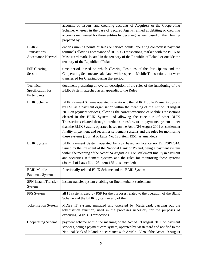|                                                            | accounts of Issuers, and crediting accounts of Acquirers or the Cooperating<br>Scheme, whereas in the case of Secured Agents, aimed at debiting or crediting<br>accounts maintained for these entities by Securing Issuers, based on the Clearing<br>prepared by PSP                                                                                                                                                                                                                                                                                                                                                                              |
|------------------------------------------------------------|---------------------------------------------------------------------------------------------------------------------------------------------------------------------------------------------------------------------------------------------------------------------------------------------------------------------------------------------------------------------------------------------------------------------------------------------------------------------------------------------------------------------------------------------------------------------------------------------------------------------------------------------------|
| <b>BLIK-C</b><br>Transactions<br><b>Acceptance Network</b> | entities running points of sales or service points, operating contactless payment<br>terminals allowing acceptance of BLIK-C Transactions, marked with the BLIK or<br>Mastercard mark, located in the territory of the Republic of Poland or outside the<br>territory of the Republic of Poland                                                                                                                                                                                                                                                                                                                                                   |
| <b>PSP</b> Clearing<br>Session                             | time period, based on which Clearing Positions of the Participants and the<br>Cooperating Scheme are calculated with respect to Mobile Transactions that were<br>transferred for Clearing during that period                                                                                                                                                                                                                                                                                                                                                                                                                                      |
| Technical<br>Specification for<br>Participants             | document presenting an overall description of the rules of the functioning of the<br>BLIK System, attached as an appendix to the Rules                                                                                                                                                                                                                                                                                                                                                                                                                                                                                                            |
| <b>BLIK</b> Scheme                                         | BLIK Payment Scheme operated in relation to the BLIK Mobile Payments System<br>by PSP as a payment organisation within the meaning of the Act of 19 August<br>2011 on payment services, allowing the correct execution of Mobile Transactions<br>cleared in the BLIK System and allowing the execution of other BLIK<br>Transactions cleared through interbank transfers, or in payments systems other<br>than the BLIK System, operated based on the Act of 24 August 2001 on settlement<br>finality in payment and securities settlement systems and the rules for monitoring<br>these systems (Journal of Laws No. 123, item 1351, as amended) |
| <b>BLIK</b> System                                         | BLIK Payment System operated by PSP based on licence no. D/III/SP/2014,<br>issued by the President of the National Bank of Poland, being a payment system<br>within the meaning of the Act of 24 August 2001 on settlement finality in payment<br>and securities settlement systems and the rules for monitoring these systems<br>(Journal of Laws No. 123, item 1351, as amended)                                                                                                                                                                                                                                                                |
| <b>BLIK Mobile</b><br>Payments System                      | functionally-related BLIK Scheme and the BLIK System                                                                                                                                                                                                                                                                                                                                                                                                                                                                                                                                                                                              |
| <b>SPN Instant Transfer</b><br>System                      | instant transfer system enabling on-line interbank settlements                                                                                                                                                                                                                                                                                                                                                                                                                                                                                                                                                                                    |
| PPS System                                                 | all IT systems used by PSP for the purposes related to the operation of the BLIK<br>Scheme and the BLIK System or any of them                                                                                                                                                                                                                                                                                                                                                                                                                                                                                                                     |
| <b>Tokenisation System</b>                                 | MDES IT system, managed and operated by Mastercard, carrying out the<br>tokenisation function, used in the processes necessary for the purposes of<br>executing BLIK-C Transactions                                                                                                                                                                                                                                                                                                                                                                                                                                                               |
| Cooperating Scheme                                         | payment scheme within the meaning of the Act of 19 August 2011 on payment<br>services, being a payment card system, operated by Mastercard and notified to the<br>National Bank of Poland in accordance with Article 132zo of the Act of 19 August                                                                                                                                                                                                                                                                                                                                                                                                |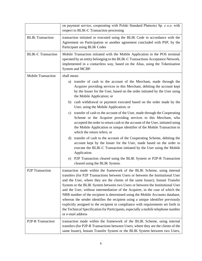|                              | on payment service, cooperating with Polski Standard Płatności Sp. z o.o. with<br>respect to BLIK-C Transaction processing                                                                                                                                                                                                                                                                                                                                                                                                                                                                                                                                                                                                                                                            |
|------------------------------|---------------------------------------------------------------------------------------------------------------------------------------------------------------------------------------------------------------------------------------------------------------------------------------------------------------------------------------------------------------------------------------------------------------------------------------------------------------------------------------------------------------------------------------------------------------------------------------------------------------------------------------------------------------------------------------------------------------------------------------------------------------------------------------|
| <b>BLIK Transaction</b>      | transaction initiated or executed using the BLIK Code in accordance with the<br>Agreement on Participation or another agreement concluded with PSP, by the<br>Participant using BLIK Codes                                                                                                                                                                                                                                                                                                                                                                                                                                                                                                                                                                                            |
| <b>BLIK-C Transaction</b>    | Mobile Transaction initiated with the Mobile Application in the POS terminal<br>operated by an entity belonging to the BLIK-C Transactions Acceptance Network,<br>implemented in a contactless way, based on the Alias, using the Tokenisation<br>System and MCBP.                                                                                                                                                                                                                                                                                                                                                                                                                                                                                                                    |
| <b>Mobile Transaction</b>    | shall mean:                                                                                                                                                                                                                                                                                                                                                                                                                                                                                                                                                                                                                                                                                                                                                                           |
|                              | transfer of cash to the account of the Merchant, made through the<br>a)<br>Acquirer providing services to this Merchant, debiting the account kept<br>by the Issuer for the User, based on the order initiated by the User using<br>the Mobile Application; or                                                                                                                                                                                                                                                                                                                                                                                                                                                                                                                        |
|                              | b) cash withdrawal or payment executed based on the order made by the<br>User, using the Mobile Application; or                                                                                                                                                                                                                                                                                                                                                                                                                                                                                                                                                                                                                                                                       |
|                              | c) transfer of cash to the account of the User, made through the Cooperating<br>Scheme or the Acquirer providing services to this Merchant, who<br>accepted the order to return cash to the account of the User, initiated using<br>the Mobile Application or unique identifier of the Mobile Transaction to<br>which the return refers; or                                                                                                                                                                                                                                                                                                                                                                                                                                           |
|                              | transfer of cash to the account of the Cooperating Scheme, debiting the<br>$\rm d$<br>account kept by the Issuer for the User, made based on the order to<br>execute the BLIK-C Transaction initiated by the User using the Mobile<br>Application.                                                                                                                                                                                                                                                                                                                                                                                                                                                                                                                                    |
|                              | P2P Transaction cleared using the BLIK System or P2P-R Transaction<br>e)<br>cleared using the BLIK System.                                                                                                                                                                                                                                                                                                                                                                                                                                                                                                                                                                                                                                                                            |
| P <sub>2</sub> P Transaction | transaction made within the framework of the BLIK Scheme, using internal<br>transfers (for P2P Transactions between Users or between the Institutional User<br>and the User, where they are the clients of the same Issuer), Instant Transfer<br>System or the BLIK System between two Users or between the Institutional User<br>and the User, without intermediation of the Acquirer, in the case of which the<br>NRB number of the recipient is determined using the Mobile Accounts database,<br>whereas the sender identifies the recipient using a unique identifier previously<br>explicitly assigned to the recipient in compliance with requirements set forth in<br>the Technical Specification for Participants, especially a mobile telephone number<br>or e-mail address |
| P2P-R Transaction            | transaction made within the framework of the BLIK Scheme, using internal<br>transfers (for P2P-R Transactions between Users, where they are the clients of the<br>same Issuer), Instant Transfer System or the BLIK System between two Users,                                                                                                                                                                                                                                                                                                                                                                                                                                                                                                                                         |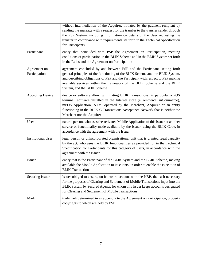|                               | without intermediation of the Acquirer, initiated by the payment recipient by<br>sending the message with a request for the transfer to the transfer sender through<br>the PSP System, including information on details of the User requesting the<br>transfer in compliance with requirements set forth in the Technical Specification<br>for Participants. |
|-------------------------------|--------------------------------------------------------------------------------------------------------------------------------------------------------------------------------------------------------------------------------------------------------------------------------------------------------------------------------------------------------------|
| Participant                   | entity that concluded with PSP the Agreement on Participation, meeting<br>conditions of participation in the BLIK Scheme and in the BLIK System set forth<br>in the Rules and the Agreement on Participation                                                                                                                                                 |
| Agreement on<br>Participation | agreement concluded by and between PSP and the Participant, setting forth<br>general principles of the functioning of the BLIK Scheme and the BLIK System,<br>and describing obligations of PSP and the Participant with respect to PSP making<br>available services within the framework of the BLIK Scheme and the BLIK<br>System, and the BLIK Scheme     |
| <b>Accepting Device</b>       | device or software allowing initiating BLIK Transactions, in particular a POS<br>terminal, software installed in the Internet store (eCommerce, mCommerce),<br>mPOS Application, ATM, operated by the Merchant, Acquirer or an entity<br>functioning in the BLIK-C Transactions Acceptance Network that is neither the<br>Merchant nor the Acquirer          |
| User                          | natural person, who uses the activated Mobile Application of this Issuer or another<br>service or functionality made available by the Issuer, using the BLIK Code, in<br>accordance with the agreement with the Issuer                                                                                                                                       |
| <b>Institutional User</b>     | legal person or unincorporated organisational unit that is granted legal capacity<br>by the act, who uses the BLIK functionalities as provided for in the Technical<br>Specification for Participants for this category of users, in accordance with the<br>agreement with the Issuer                                                                        |
| Issuer                        | entity that is the Participant of the BLIK System and the BLIK Scheme, making<br>available the Mobile Application to its clients, in order to enable the execution of<br><b>BLIK Transactions</b>                                                                                                                                                            |
| <b>Securing Issuer</b>        | Issuer obliged to ensure, on its nostro account with the NBP, the cash necessary<br>for the purposes of Clearing and Settlement of Mobile Transactions input into the<br>BLIK System by Secured Agents, for whom this Issuer keeps accounts designated<br>for Clearing and Settlement of Mobile Transactions                                                 |
| Mark                          | trademark determined in an appendix to the Agreement on Participation, property<br>copyrights to which are held by PSP                                                                                                                                                                                                                                       |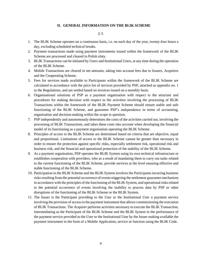#### **II. GENERAL INFORMATION ON THE BLIK SCHEME**

#### § 3.

- 1. The BLIK Scheme operates on a continuous basis, i.e. on each day of the year, twenty-four hours a day, excluding scheduled technical breaks.
- 2. Payment transactions made using payment instruments issued within the framework of the BLIK Scheme are processed and cleared in Polish zloty.
- 3. BLIK Transactions can be initiated by Users and Institutional Users, at any time during the operation of the BLIK Scheme.
- 4. Mobile Transactions are cleared in net amounts, taking into account fees due to Issuers, Acquirers and the Cooperating Scheme.
- 5. Fees for services made available to Participants within the framework of the BLIK Scheme are calculated in accordance with the price list of services provided by PSP, attached as appendix no. 1 to the Regulations, and are settled based on invoices issued on a monthly basis.
- 6. Organisational solutions of PSP as a payment organisation with respect to the structure and procedures for making decision with respect to the activities involving the processing of BLIK Transactions within the framework of the BLIK Payment Scheme should ensure stable and safe functioning of the BLIK Scheme, and guarantee PSP's independence in terms of accounting, organisation and decision-making within the scope in question.
- 7. PSP independently and autonomously determines the costs of the activities carried out, involving the processing of BLIK Transactions, and takes these costs into account when developing the financial model of its functioning as a payment organisation operating the BLIK Scheme.
- 8. Principles of access to the BLIK Scheme are determined based on criteria that are objective, equal and proportional. Limitations of access to the BLIK Scheme cannot be greater than necessary in order to ensure the protection against specific risks, especially settlement risk, operational risk and business risk, and the financial and operational protection of the stability of the BLIK Scheme.
- 9. As a payment organisation, PSP operates the BLIK System using its own technical infrastructure or establishes cooperation with providers, who as a result of mandating them to carry out tasks related to the current functioning of the BLIK Scheme, provide services at the level ensuring effective and stable functioning of the BLIK Scheme.
- 10. Participation in the BLIK Scheme and the BLIK System involves the Participants incurring business risks resulting from the potential occurrence of events triggering the settlement guarantee mechanism in accordance with the principles of the functioning of the BLIK System, and operational risks related to the potential occurrence of events involving the inability to process data by PSP or other disruptions of the functioning of the BLIK Scheme or the BLIK System.
- 11. The Issuer is the Participant providing to the User or the Institutional User a payment service involving the provision of access to the payment instrument that allows commissioning the execution of BLIK Transactions. The Acquirer performs activities necessary to execute the BLIK Transaction, intermediating as the Participant of the BLIK Scheme and the BLIK System in the performance of the payment service provided to the User or the Institutional User by the Issuer making available the payment instrument in the form of a Mobile Application, service or function using the BLIK Code.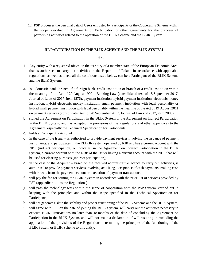12. PSP processes the personal data of Users entrusted by Participants or the Cooperating Scheme within the scope specified in Agreements on Participation or other agreements for the purposes of performing activities related to the operation of the BLIK Scheme and the BLIK System.

# **III. PARTICIPATION IN THE BLIK SCHEME AND THE BLIK SYSTEM**

# § 4.

- 1. Any entity with a registered office on the territory of a member state of the European Economic Area, that is authorised to carry out activities in the Republic of Poland in accordance with applicable regulations, as well as meets all the conditions listed below, can be a Participant of the BLIK Scheme and the BLIK System:
- a. is a domestic bank, branch of a foreign bank, credit institution or branch of a credit institution within the meaning of the Act of 29 August 1997 – Banking Law (consolidated text of 15 September 2017, Journal of Laws of 2017, item 1876), payment institution, hybrid payment institution, electronic money institution, hybrid electronic money institution, small payment institution with legal personality or hybrid small payment institution with legal personality within the meaning of the Act of 19 August 2011 on payment services (consolidated text of 28 September 2017, Journal of Laws of 2017, item 2003);
- b. signed the Agreement on Participation in the BLIK System or the Agreement on Indirect Participation in the BLIK System, and has accepted the provisions of the Regulations and other appendices to the Agreement, especially the Technical Specification for Participants;
- c. holds a Participant's Account
- d. in the case of the Issuer is authorised to provide payment services involving the issuance of payment instruments, and participates in the ELIXIR system operated by KIR and has a current account with the NBP (indirect participation) or indicates, in the Agreement on Indirect Participation in the BLIK System, a current account with the NBP of the Issuer having a current account with the NBP that will be used for clearing purposes (indirect participation);
- e. in the case of the Acquirer based on the received administrative licence to carry out activities, is authorised to provide payment services involving acquiring, acceptance of cash payments, making cash withdrawals from the payment account or execution of payment transactions;
- f. will pay the fee for joining the BLIK System in accordance with the price list of services provided by PSP (appendix no. 1 to the Regulations);
- g. will pass the technology tests within the scope of cooperation with the PSP System, carried out in keeping with the principles and within the scope specified in the Technical Specification for Participants;
- h. will not generate risk to the stability and proper functioning of the BLIK Scheme and the BLIK System;
- i. will agree with PSP on the date of joining the BLIK System, will carry out the activities necessary to execute BLIK Transactions no later than 18 months of the date of concluding the Agreement on Participation in the BLIK System, and will not make a declaration of will resulting in excluding the application of the provisions of the Regulations determining the principles of the functioning of the BLIK System or BLIK Scheme to this entity.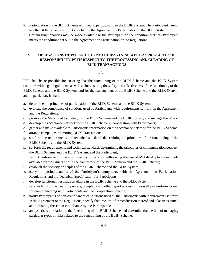- 2. Participation in the BLIK Scheme is linked to participating in the BLIK System. The Participant cannot use the BLIK Scheme without concluding the Agreement on Participation in the BLIK System.
- 3. Certain functionalities may be made available to the Participant on the condition that this Participant meets the conditions set out in the Agreement on Participation or the Regulations.

# **IV. OBLIGATIONS OF PSP AND THE PARTICIPANTS, AS WELL AS PRINCIPLES OF RESPONSIBILITY WITH RESPECT TO THE PROCESSING AND CLEARING OF BLIK TRANSACTIONS**

## § 5.

PSP shall be responsible for ensuring that the functioning of the BLIK Scheme and the BLIK System complies with legal regulations, as well as for ensuring the safety and effectiveness of the functioning of the BLIK Scheme and the BLIK System, and for the management of the BLIK Scheme and the BLIK System, and in particular, it shall:

- a. determine the principles of participation in the BLIK Scheme and the BLIK System;
- b. evaluate the compliance of solutions used by Participants with requirements set forth in the Agreement and the Regulations;
- c. promote the Mark used to distinguish the BLIK Scheme and the BLIK System, and manage this Mark;
- d. develop the acceptance network for the BLIK Scheme in cooperation with Participants;
- e. gather and make available to Participants information on the acceptance network for the BLIK Scheme;
- f. arrange campaigns promoting BLIK Transactions;
- g. set forth the requirements and technical standards determining the principles of the functioning of the BLIK Scheme and the BLIK System;
- h. set forth the requirements and technical standards determining the principles of communication between the BLIK Scheme and the BLIK System, and the Participant;
- i. set out uniform and non-discriminatory criteria for authorising the use of Mobile Applications made available by the Issuers within the framework of the BLIK System and the BLIK Scheme;
- j. establish the security principles of the BLIK Scheme and the BLIK System;
- k. carry out periodic audits of the Participant's compliance with the Agreement on Participation, Regulations and the Technical Specification for Participants;
- l. develop functionalities made available in the BLIK Scheme and the BLIK System;
- m. set standards of the clearing process, complaint and other report processing, as well as a uniform format for communicating with Participants and the Cooperation Scheme;
- n. notify Participants of non-compliances of solutions used by the Participants with requirements set forth in the Agreement or the Regulations, specify the time limit for rectification thereof and take steps aimed at eliminating these non-compliance by the Participants;
- o. analyse risks in relation to the functioning of the BLIK Scheme and determine the method of managing particular types of risks related to the functioning of the BLIK Scheme.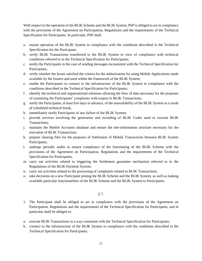With respect to the operation of the BLIK Scheme and the BLIK System, PSP is obliged to act in compliance with the provisions of the Agreement on Participation, Regulations and the requirements of the Technical Specification for Participants. In particular, PSP shall:

- a. ensure operation of the BLIK System in compliance with the conditions described in the Technical Specification for the Participant;
- b. verify BLIK Transactions transferred to the BLIK System in view of compliance with technical conditions referred to in the Technical Specification for Participants;
- c. notify the Participants in the case of sending messages inconsistent with the Technical Specification for Participants;
- d. verify whether the Issuer satisfied the criteria for the authorisation for using Mobile Applications made available by the Issuers and used within the framework of the BLIK System;
- e. enable the Participants to connect to the infrastructure of the BLIK System in compliance with the conditions described in the Technical Specification for Participants;
- f. identify the technical and organisational solutions allowing the flow of data necessary for the purposes of examining the Participants' complaints with respect to BLIK Transactions;
- g. notify the Participants, at least five days in advance, of the unavailability of the BLIK System as a result of scheduled technical break;
- h. immediately notify Participants of any failure of the BLIK System;
- i. provide services involving the generation and recording of BLIK Codes used to execute BLIK Transactions;
- j. maintain the Mobile Accounts database and ensure the tele-information structure necessary for the execution of BLIK Transactions;
- k. prepare clearing files for the purposes of Settlement of Mobile Transactions between BLIK System Participants;
- l. undergo periodic audits to ensure compliance of the functioning of the BLIK Scheme with the provisions of the Agreement on Participation, Regulations and the requirements of the Technical Specification for Participants;
- m. carry out activities related to triggering the Settlement guarantee mechanism referred to in the Regulations of the BLIK Payment System;
- n. carry out activities related to the processing of complaints related to BLIK Transactions;
- o. take decisions on a new Participant joining the BLIK Scheme and the BLIK System, as well as making available particular functionalities of the BLIK Scheme and the BLIK System to Participants.
	- § 7.
- 1. The Participant shall be obliged to act in compliance with the provisions of the Agreement on Participation, Regulations and the requirements of the Technical Specification for Participants, and in particular shall be obliged to:
- a. execute BLIK Transactions in a way consistent with the Technical Specification for Participants;
- b. connect to the infrastructure of the BLIK System in compliance with the conditions described in the Technical Specification for Participants;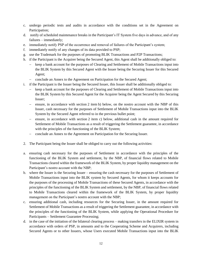- c. undergo periodic tests and audits in accordance with the conditions set in the Agreement on Participation;
- d. notify of scheduled maintenance breaks in the Participant's IT System five days in advance, and of any failures – immediately;
- e. immediately notify PSP of the occurrence and removal of failures of the Participant's system;
- f. immediately notify of any changes of its data provided to PSP;
- g. use the Trademark for the purposes of promoting BLIK Transactions and P2P Transactions;
- h. if the Participant is the Acquirer being the Secured Agent, this Agent shall be additionally obliged to:
	- keep a bank account for the purposes of Clearing and Settlement of Mobile Transactions input into the BLIK System by this Secured Agent with the Issuer being the Securing Issuer for this Secured Agent;
	- conclude an Annex to the Agreement on Participation for the Secured Agent;
- i. if the Participant is the Issuer being the Secured Issuer, this Issuer shall be additionally obliged to:
	- keep a bank account for the purposes of Clearing and Settlement of Mobile Transactions input into the BLIK System by this Secured Agent for the Acquirer being the Agent Secured by this Securing Issuer;
	- ensure, in accordance with section 2 item b) below, on the nostro account with the NBP of this Issuer, cash necessary for the purposes of Settlement of Mobile Transactions input into the BLIK System by the Secured Agent referred to in the previous bullet point;
	- $\epsilon$  ensure, in accordance with section 2 item c) below, additional cash in the amount required for Settlement of Mobile Transactions as a result of triggering the Settlement guarantee, in accordance with the principles of the functioning of the BLIK System;
	- conclude an Annex to the Agreement on Participation for the Securing Issuer.
- 2. The Participant being the Issuer shall be obliged to carry out the following activities:
- a. ensuring cash necessary for the purposes of Settlement in accordance with the principles of the functioning of the BLIK System and settlement, by the NBP, of financial flows related to Mobile Transactions cleared within the framework of the BLIK System, by proper liquidity management on the Participant's nostro account with the NBP;
- b. where the Issuer is the Securing Issuer ensuring the cash necessary for the purposes of Settlement of Mobile Transactions input into the BLIK system by Secured Agents, for whom it keeps accounts for the purposes of the processing of Mobile Transactions of these Secured Agents, in accordance with the principles of the functioning of the BLIK System and settlement, by the NBP, of financial flows related to Mobile Transactions cleared within the framework of the BLIK System, by proper liquidity management on the Participant's nostro account with the NBP;
- c. ensuring additional cash, including resources for the Securing Issuer, in the amount required for Settlement of Mobile Transactions as a result of triggering the Settlement guarantee, in accordance with the principles of the functioning of the BLIK System, while applying the Operational Procedure for Participants – Settlement Guarantee Processing;
- d. in the case of the initiation of the bilateral clearing process making transfers in the ELIXIR system in accordance with orders of PSP, in amounts and to the Cooperating Scheme and Acquirers, including Secured Agents or to other Issuers, whose Users executed Mobile Transactions input into the BLIK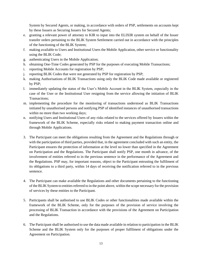System by Secured Agents, or making, in accordance with orders of PSP, settlements on accounts kept by these Issuers as Securing Issuers for Secured Agents;

- e. granting a relevant power of attorney to KIR to input into the ELIXIR system on behalf of the Issuer transfer orders pertaining to the BLIK System Settlement carried out in accordance with the principles of the functioning of the BLIK System;
- f. making available to Users and Institutional Users the Mobile Application, other service or functionality using the BLIK Code;
- g. authenticating Users in the Mobile Application;
- h. obtaining One-Time Codes generated by PSP for the purposes of executing Mobile Transactions;
- i. reporting Mobile Accounts for registration by PSP;
- j. reporting BLIK Codes that were not generated by PSP for registration by PSP;
- k. making Authorisations of BLIK Transactions using only the BLIK Code made available or registered by PSP;
- l. immediately updating the status of the User's Mobile Account in the BLIK System, especially in the case of the User or the Institutional User resigning from the service allowing the initiation of BLIK Transactions;
- m. implementing the procedure for the monitoring of transactions understood as BLIK Transactions initiated by unauthorised persons and notifying PSP of identified instances of unauthorised transactions within no more than two working days;
- n. notifying Users and Institutional Users of any risks related to the services offered by Issuers within the framework of the BLIK Scheme, especially risks related to making payment transaction online and through Mobile Applications.
- 3. The Participant can meet the obligations resulting from the Agreement and the Regulations through or with the participation of third parties, provided that, in the agreement concluded with such an entity, the Participant ensures the protection of information at the level no lower than specified in the Agreement on Participation and the Regulations. The Participant shall notify PSP, one month in advance, of the involvement of entities referred to in the previous sentence in the performance of the Agreement and the Regulations. PSP may, for important reasons, object to the Participant entrusting the fulfilment of its obligations to a third party, within 14 days of receiving the notification referred to in the previous sentence.
- 4. The Participant can make available the Regulations and other documents pertaining to the functioning of the BLIK System to entities referred to in the point above, within the scope necessary for the provision of services by these entities to the Participant.
- 5. Participants shall be authorised to use BLIK Codes or other functionalities made available within the framework of the BLIK Scheme, only for the purposes of the provision of service involving the processing of BLIK Transaction in accordance with the provisions of the Agreement on Participation and the Regulations.
- 6. The Participant shall be authorised to use the data made available in relation to participation in the BLIK Scheme and the BLIK System only for the purposes of proper fulfilment of obligations under the Agreement on Participation.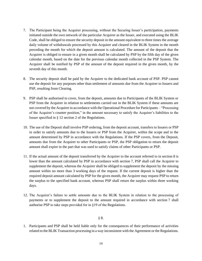- 7. The Participant being the Acquirer processing, without the Securing Issuer's participation, payments initiated outside the own network of the particular Acquirer as the Issuer, and executed using the BLIK Code, shall be obliged to ensure the security deposit in the amount equivalent to three times the average daily volume of withdrawals processed by this Acquirer and cleared in the BLIK System in the month preceding the month for which the deposit amount is calculated. The amount of the deposit that the Acquirer is obliged to ensure in a given month shall be calculated by PSP by the fifth day of the given calendar month, based on the date for the previous calendar month collected in the PSP System. The Acquirer shall be notified by PSP of the amount of the deposit required in the given month, by the seventh day of this month.
- 8. The security deposit shall be paid by the Acquirer to the dedicated bank account of PSP. PSP cannot use the deposit for any purposes other than settlement of amounts due from the Acquirer to Issuers and PSP, resulting from Clearing.
- 9. PSP shall be authorised to cover, from the deposit, amounts due to Participants of the BLIK System or PSP from the Acquirer in relation to settlements carried out in the BLIK System if these amounts are not covered by the Acquirer in accordance with the Operational Procedure for Participants – "Processing of the Acquirer's counter position," in the amount necessary to satisfy the Acquirer's liabilities to the Issuer specified in § 12 section 2 of the Regulations.
- 10. The use of the Deposit shall involve PSP ordering, from the deposit account, transfers to Issuers or PSP in order to satisfy amounts due to the Issuers or PSP from the Acquirer, within the scope and in the amount determined by PSP in accordance with the Regulations. If the PSP covers, from the Deposit, amounts due from the Acquirer to other Participants or PSP, the PSP obligation to return the deposit amount shall expire in the part that was used to satisfy claims of other Participants or PSP.
- 11. If the actual amount of the deposit transferred by the Acquirer to the account referred to in section 8 is lower than the amount calculated by PSP in accordance with section 7, PSP shall call the Acquirer to supplement the deposit, whereas the Acquirer shall be obliged to supplement the deposit by the missing amount within no more than 3 working days of the request. If the current deposit is higher than the required deposit amount calculated by PSP for the given month, the Acquirer may request PSP to return the surplus to the specified bank account, whereas PSP shall return the surplus within three working days.
- 12. The Acquirer's failure to settle amounts due to the BLIK System in relation to the processing of payments or to supplement the deposit to the amount required in accordance with section 7 shall authorise PSP to take steps provided for in §19 of the Regulations.

## § 8.

1. Participants and PSP shall be held liable only for the consequences of their performance of activities related to the BLIK Transaction processing in a way inconsistent with the Agreement or the Regulations.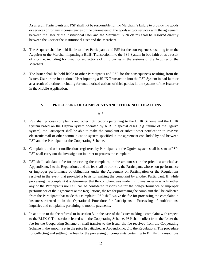As a result, Participants and PSP shall not be responsible for the Merchant's failure to provide the goods or services or for any inconsistencies of the parameters of the goods and/or services with the agreement between the User or the Institutional User and the Merchant. Such claims shall be resolved directly between the User or the Institutional User and the Merchant.

- 2. The Acquirer shall be held liable to other Participants and PSP for the consequences resulting from the Acquirer or the Merchant inputting a BLIK Transaction into the PSP System in bad faith or as a result of a crime, including for unauthorised actions of third parties in the systems of the Acquirer or the Merchant.
- 3. The Issuer shall be held liable to other Participants and PSP for the consequences resulting from the Issuer, User or the Institutional User inputting a BLIK Transaction into the PSP System in bad faith or as a result of a crime, including for unauthorised actions of third parties in the systems of the Issuer or in the Mobile Application.

# **V. PROCESSING OF COMPLAINTS AND OTHER NOTIFICATIONS**

§ 9.

- 1. PSP shall process complaints and other notifications pertaining to the BLIK Scheme and the BLIK System based on the Ognivo system operated by KIR. In special cases (e.g. failure of the Ognivo system), the Participant shall be able to make the complaint or submit other notification to PSP via electronic mail or other communication system specified in the agreement concluded by and between PSP and the Participant or the Cooperating Scheme.
- 2. Complaints and other notifications registered by Participants in the Ognivo system shall be sent to PSP. PSP shall carry out the investigation in order to process the complaint.
- 3. PSP shall calculate a fee for processing the complaint, in the amount set in the price list attached as Appendix no. 1 to the Regulations, and the fee shall be borne by the Participant, whose non-performance or improper performance of obligations under the Agreement on Participation or the Regulations resulted in the event that provided a basis for making the complaint by another Participant. If, while processing the complaint it is determined that the complaint was made in circumstances in which neither any of the Participants nor PSP can be considered responsible for the non-performance or improper performance of the Agreement or the Regulations, the fee for processing the complaint shall be collected from the Participant that made this complaint. PSP shall waive the fee for processing the complaint in instances referred to in the Operational Procedure for Participants – Processing of notifications, inquiries and complaints pertaining to mobile payments.
- 4. In addition to the fee referred to in section 3, in the case of the Issuer making a complaint with respect to the BLIK-C Transaction cleared with the Cooperating Scheme, PSP shall collect from the Issuer the fee for the Cooperating Scheme or shall transfer to the Issuer the fee received from the Cooperating Scheme in the amount set in the price list attached as Appendix no. 2 to the Regulations. The procedure for collecting and settling the fees for the processing of complaints pertaining to BLIK-C Transactions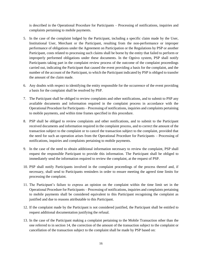is described in the Operational Procedure for Participants – Processing of notifications, inquiries and complaints pertaining to mobile payments.

- 5. In the case of the complaint lodged by the Participant, including a specific claim made by the User, Institutional User, Merchant or the Participant, resulting from the non-performance or improper performance of obligations under the Agreement on Participation or the Regulations by PSP or another Participant, costs related to processing such claims shall be borne by the entity that failed to perform or improperly performed obligations under these documents. In the Ognivo system, PSP shall notify Participants taking part in the complaint review process of the outcome of the complaint proceedings carried out, indicating the Participant that caused the event providing a basis for the complaint, and the number of the account of the Participant, to which the Participant indicated by PSP is obliged to transfer the amount of the claim made.
- 6. Any doubts with respect to identifying the entity responsible for the occurrence of the event providing a basis for the complaint shall be resolved by PSP.
- 7. The Participant shall be obliged to review complaints and other notifications, and to submit to PSP any available documents and information required in the complaint process in accordance with the Operational Procedure for Participants – Processing of notifications, inquiries and complaints pertaining to mobile payments, and within time frames specified in this procedure.
- 8. PSP shall be obliged to review complaints and other notifications, and to submit to the Participant received documents and information required in the complaint process, and to correct the amount of the transaction subject to the complaint or to cancel the transaction subject to the complaint, provided that the need for such an operation arises from the Operational Procedure for Participants – Processing of notifications, inquiries and complaints pertaining to mobile payments.
- 9. In the case of the need to obtain additional information necessary to review the complaint, PSP shall request the responsible Participant to provide this information. The Participant shall be obliged to immediately send the information required to review the complaint, at the request of PSP.
- 10. PSP shall notify Participants involved in the complaint proceedings of the process thereof and, if necessary, shall send to Participants reminders in order to ensure meeting the agreed time limits for processing the complaint.
- 11. The Participant's failure to express an opinion on the complaint within the time limit set in the Operational Procedure for Participants – Processing of notifications, inquiries and complaints pertaining to mobile payments shall be considered equivalent to this Participant recognising the complaint as justified and due to reasons attributable to this Participant.
- 12. If the complaint made by the Participant is not considered justified, the Participant shall be entitled to request additional documentation justifying the refusal.
- 13. In the case of the Participant making a complaint pertaining to the Mobile Transaction other than the one referred to in section 14, the correction of the amount of the transaction subject to the complaint or cancellation of the transaction subject to the complaint shall be made by PSP based on: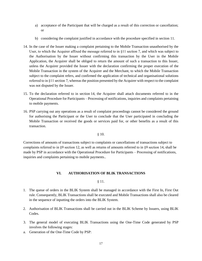- a) acceptance of the Participant that will be charged as a result of this correction or cancellation; or
- b) considering the complaint justified in accordance with the procedure specified in section 11.
- 14. In the case of the Issuer making a complaint pertaining to the Mobile Transaction unauthorised by the User, to which the Acquirer affixed the message referred to in §11 section 7, and which was subject to the Authorisation by the Issuer without confirming this transaction by the User in the Mobile Application, the Acquirer shall be obliged to return the amount of such a transaction to this Issuer, unless the Acquirer provided the Issuer with the declaration confirming the proper execution of the Mobile Transaction in the system of the Acquirer and the Merchant, to which the Mobile Transaction subject to the complaint refers, and confirmed the application of technical and organisational solutions referred to in §11 section 7, whereas the position presented by the Acquirer with respect to the complaint was not disputed by the Issuer.
- 15. To the declaration referred to in section 14, the Acquirer shall attach documents referred to in the Operational Procedure for Participants – Processing of notifications, inquiries and complaints pertaining to mobile payments.
- 16. PSP carrying out any operations as a result of complaint proceedings cannot be considered the ground for authorising the Participant or the User to conclude that the User participated in concluding the Mobile Transaction or received the goods or services paid for, or other benefits as a result of this transaction.

## § 10.

Corrections of amounts of transactions subject to complaints or cancellations of transactions subject to complaints referred to in §9 section 12, as well as returns of amounts referred to in §9 section 14, shall be made by PSP in accordance with the Operational Procedure for Participants – Processing of notifications, inquiries and complaints pertaining to mobile payments..

# **VI. AUTHORISATION OF BLIK TRANSACTIONS**

# § 11.

- 1. The queue of orders in the BLIK System shall be managed in accordance with the First In, First Out rule. Consequently, BLIK Transactions shall be executed and Mobile Transactions shall also be cleared in the sequence of inputting the orders into the BLIK System.
- 2. Authorisation of BLIK Transactions shall be carried out in the BLIK Scheme by Issuers, using BLIK Codes.
- 3. The general model of executing BLIK Transactions using the One-Time Code generated by PSP involves the following stages:
- a. Generation of the One-Time Code by PSP: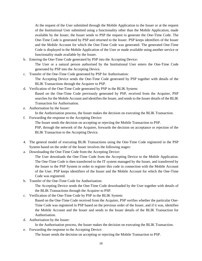At the request of the User submitted through the Mobile Application to the Issuer or at the request of the Institutional User submitted using a functionality other than the Mobile Application, made available by the Issuer, the Issuer sends to PSP the request to generate the One-Time Code. The One-Time Code is generated by PSP and returned to the Issuer. PSP keeps identifiers of the Issuer and the Mobile Account for which the One-Time Code was generated. The generated One-Time Code is displayed in the Mobile Application of the User or made available using another service or functionality made available by the Issuer.

- b. Entering the One-Time Code generated by PSP into the Accepting Device:
	- The User or a natural person authorised by the Institutional User enters the One-Time Code generated by PSP into the Accepting Device.
- c. Transfer of the One-Time Code generated by PSP for Authorisation: The Accepting Device sends the One-Time Code generated by PSP together with details of the BLIK Transactions through the Acquirer to PSP.
- d. Verification of the One-Time Code generated by PSP in the BLIK System: Based on the One-Time Code previously generated by PSP, received from the Acquirer, PSP searches for the Mobile Account and identifies the Issuer, and sends to the Issuer details of the BLIK Transaction for Authorisation.
- e. Authorisation by the Issuer:

In the Authorisation process, the Issuer makes the decision on executing the BLIK Transaction.

f. Forwarding the response to the Accepting Device:

The Issuer sends the decision on accepting or rejecting the Mobile Transaction to PSP.

PSP, through the network of the Acquirer, forwards the decision on acceptance or rejection of the BLIK Transaction to the Accepting Device.

- 4. The general model of executing BLIK Transactions using the One-Time Code registered in the PSP System based on the order of the Issuer involves the following stages:
- a. Downloading the One-Time Code from the Accepting Device:

The User downloads the One-Time Code from the Accepting Device to the Mobile Application. The One-Time Code is then transferred to the IT system managed by the Issuer, and transferred by the Issuer to the PSP System in order to register this code in connection with the Mobile Account of the User. PSP keeps identifiers of the Issuer and the Mobile Account for which the One-Time Code was registered.

b. Transfer of the One-Time Code for Authorisation:

The Accepting Device sends the One-Time Code downloaded by the User together with details of the BLIK Transactions through the Acquirer to PSP.

c. Verification of the One-Time Code by PSP in the BLIK System:

Based on the One-Time Code received from the Acquirer, PSP verifies whether the particular One-Time Code was registered in PSP based on the previous order of the Issuer, and if it was, identifies the Mobile Account and the Issuer and sends to the Issuer details of the BLIK Transaction for Authorisation.

d. Authorisation by the Issuer:

In the Authorisation process, the Issuer makes the decision on executing the BLIK Transaction.

e. Forwarding the response to the Accepting Device:

The Issuer sends the decision on accepting or rejecting the Mobile Transaction to PSP.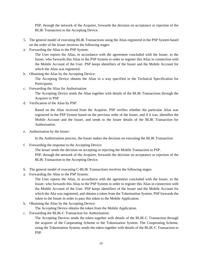PSP, through the network of the Acquirer, forwards the decision on acceptance or rejection of the BLIK Transaction to the Accepting Device.

- 5. The general model of executing BLIK Transactions using the Alias registered in the PSP System based on the order of the Issuer involves the following stages:
- a. Forwarding the Alias to the PSP System:

The User reports the Alias, in accordance with the agreement concluded with the Issuer, to the Issuer, who forwards this Alias to the PSP System in order to register this Alias in connection with the Mobile Account of the User. PSP keeps identifiers of the Issuer and the Mobile Account for which the Alias was registered.

b. Obtaining the Alias by the Accepting Device:

The Accepting Device obtains the Alias in a way specified in the Technical Specification for Participants.

c. Forwarding the Alias for Authorisation:

The Accepting Device sends the Alias together with details of the BLIK Transactions through the Acquirer to PSP.

d. Verification of the Alias by PSP:

Based on the Alias received from the Acquirer, PSP verifies whether the particular Alias was registered in the PSP System based on the previous order of the Issuer, and if it was, identifies the Mobile Account and the Issuer, and sends to the Issuer details of the BLIK Transaction for Authorisation.

e. Authorisation by the Issuer:

In the Authorisation process, the Issuer makes the decision on executing the BLIK Transaction.

f. Forwarding the response to the Accepting Device:

The Issuer sends the decision on accepting or rejecting the Mobile Transaction to PSP. PSP, through the network of the Acquirer, forwards the decision on acceptance or rejection of the BLIK Transaction to the Accepting Device.

- 6. The general model of executing C-BLIK Transactions involves the following stages:
- a. Forwarding the Alias to the PSP System:

The User reports the Alias, in accordance with the agreement concluded with the Issuer, to the Issuer, who forwards this Alias to the PSP System in order to register this Alias in connection with the Mobile Account of the User. PSP keeps identifiers of the Issuer and the Mobile Account for which the Alia was registered, and obtains a token from the Tokenisation System. PSP forwards the token to the Issuer in order to pass this token to the Mobile Application.

b. Obtaining the Alias by the Accepting Device:

The Accepting Device obtains the token from the Mobile Application.

c. Forwarding the BLIK-C Transaction for Authorisation:

The Accepting Devices sends the token together with details of the BLIK-C Transaction through the acquirer of the Cooperating Scheme to the Tokenisation System. The Cooperating Scheme, using the Tokenisation System, sends the token together with details of the BLIK-C Transaction to PSP.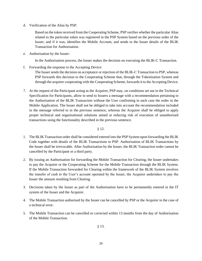d. Verification of the Alias by PSP:

Based on the token received from the Cooperating Scheme, PSP verifies whether the particular Alias related to the particular token was registered in the PSP System based on the previous order of the Issuer, and if it was, identifies the Mobile Account, and sends to the Issuer details of the BLIK Transaction for Authorisation.

e. Authorisation by the Issuer:

In the Authorisation process, the Issuer makes the decision on executing the BLIK-C Transaction.

f. Forwarding the response to the Accepting Device:

The Issuer sends the decision on acceptance or rejection of the BLIK-C Transaction to PSP, whereas PSP forwards this decision to the Cooperating Scheme that, through the Tokenisation System and through the acquirer cooperating with the Cooperating Scheme, forwards it to the Accepting Device.

7. At the request of the Participant acting as the Acquirer, PSP may, on conditions set out in the Technical Specification for Participants, allow to send to Issuers a message with a recommendation pertaining to the Authorisation of the BLIK Transaction without the User confirming in each case the order in the Mobile Application. The Issuer shall not be obliged to take into account the recommendation included in the message referred to in the previous sentence, whereas the Acquirer shall be obliged to apply proper technical and organisational solutions aimed at reducing risk of execution of unauthorised transactions using the functionality described in the previous sentence.

§ 12.

- 1. The BLIK Transaction order shall be considered entered into the PSP System upon forwarding the BLIK Code together with details of the BLIK Transactions to PSP. Authorisation of BLIK Transactions by the Issuer shall be irrevocable. After Authorisation by the Issuer, the BLIK Transaction order cannot be cancelled by the Participant or a third party.
- 2. By issuing an Authorisation for forwarding the Mobile Transaction for Clearing, the Issuer undertakes to pay the Acquirer or the Cooperating Scheme for the Mobile Transaction through the BLIK System. If the Mobile Transaction forwarded for Clearing within the framework of the BLIK System involves the transfer of cash to the User's account operated by the Issuer, the Acquirer undertakes to pay the Issuer the amount resulting from Clearing.
- 3. Decisions taken by the Issuer as part of the Authorisation have to be permanently entered in the IT system of the Issuer and the Acquirer.
- 4. The Mobile Transaction authorised by the Issuer can be cancelled by PSP or the Acquirer in the case of a technical error.
- 5. The Mobile Transaction can be cancelled or corrected within 13 months from the day of Authorisation of the Mobile Transaction.

§ 13.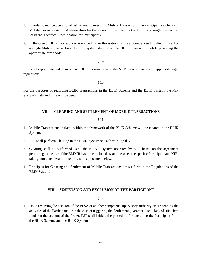- 1. In order to reduce operational risk related to executing Mobile Transactions, the Participant can forward Mobile Transactions for Authorisation for the amount not exceeding the limit for a single transaction set in the Technical Specification for Participants.
- 2. In the case of BLIK Transaction forwarded for Authorisation for the amount exceeding the limit set for a single Mobile Transaction, the PSP System shall reject the BLIK Transaction, while providing the appropriate error code.

§ 14.

PSP shall report detected unauthorised BLIK Transactions to the NBP in compliance with applicable legal regulations.

§ 15.

For the purposes of recording BLIK Transactions in the BLIK Scheme and the BLIK System, the PSP System's date and time will be used.

# **VII. CLEARING AND SETTLEMENT OF MOBILE TRANSACTIONS**

# § 16.

- 1. Mobile Transactions initiated within the framework of the BLIK Scheme will be cleared in the BLIK System.
- 2. PSP shall perform Clearing in the BLIK System on each working day.
- 3. Clearing shall be performed using the ELIXIR system operated by KIR, based on the agreement pertaining to the use of the ELIXIR system concluded by and between the specific Participant and KIR, taking into consideration the provisions presented below.
- 4. Principles for Clearing and Settlement of Mobile Transactions are set forth in the Regulations of the BLIK System.

## **VIII. SUSPENSION AND EXCLUSION OF THE PARTICIPANT**

§ 17.

1. Upon receiving the decision of the PFSA or another competent supervisory authority on suspending the activities of the Participant, or in the case of triggering the Settlement guarantee due to lack of sufficient funds on the account of the Issuer, PSP shall initiate the procedure for excluding the Participant from the BLIK Scheme and the BLIK System.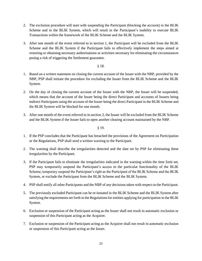- 2. The exclusion procedure will start with suspending the Participant (blocking the account) in the BLIK Scheme and in the BLIK System, which will result in the Participant's inability to execute BLIK Transactions within the framework of the BLIK Scheme and the BLIK System.
- 3. After one month of the event referred to in section 1, the Participant will be excluded from the BLIK Scheme and the BLIK System if the Participant fails to effectively implement the steps aimed at restoring or obtaining necessary authorisations or activities necessary for eliminating the circumstances posing a risk of triggering the Settlement guarantee.

## § 18.

- 1. Based on a written statement on closing the current account of the Issuer with the NBP, provided by the NBP, PSP shall initiate the procedure for excluding the Issuer from the BLIK Scheme and the BLIK System.
- 2. On the day of closing the current account of the Issuer with the NBP, the Issuer will be suspended, which means that the account of the Issuer being the direct Participant and accounts of Issuers being indirect Participants using the account of the Issuer being the direct Participant in the BLIK Scheme and the BLIK System will be blocked for one month.
- 3. After one month of the event referred to in section 2, the Issuer will be excluded from the BLIK Scheme and the BLIK System if the Issuer fails to open another clearing account maintained by the NBP.

## § 19.

- 1. If the PSP concludes that the Participant has breached the provisions of the Agreement on Participation or the Regulations, PSP shall send a written warning to the Participant.
- 2. The warning shall describe the irregularities detected and the date set by PSP for eliminating these irregularities by the Participant.
- 3. If the Participant fails to eliminate the irregularities indicated in the warning within the time limit set, PSP may temporarily suspend the Participant's access to the particular functionality of the BLIK Scheme, temporary suspend the Participant's right as the Participant of the BLIK Scheme and the BLIK System, or exclude the Participant from the BLIK Scheme and the BLIK System.
- 4. PSP shall notify all other Participants and the NBP of any decisions taken with respect to the Participant.
- 5. The previously excluded Participant can be re-instated in the BLIK Scheme and the BLIK System after satisfying the requirements set forth in the Regulationsfor entities applying for participation in the BLIK System.
- 6. Exclusion or suspension of the Participant acting as the Issuer shall not result in automatic exclusion or suspension of this Participant acting as the Acquirer.
- 7. Exclusion or suspension of the Participant acting as the Acquirer shall not result in automatic exclusion or suspension of this Participant acting as the Issuer.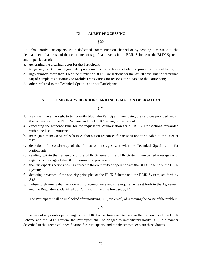#### **IX. ALERT PROCESSING**

§ 20.

PSP shall notify Participants, via a dedicated communication channel or by sending a message to the dedicated email address, of the occurrence of significant events in the BLIK Scheme or the BLIK System, and in particular of:

- a. generating the clearing report for the Participant;
- b. triggering the Settlement guarantee procedure due to the Issuer's failure to provide sufficient funds;
- c. high number (more than 3% of the number of BLIK Transactions for the last 30 days, but no fewer than 50) of complaints pertaining to Mobile Transactions for reasons attributable to the Participant;
- d. other, referred to the Technical Specification for Participants.

#### **X. TEMPORARY BLOCKING AND INFORMATION OBLIGATION**

#### § 21.

- 1. PSP shall have the right to temporarily block the Participant from using the services provided within the framework of the BLIK Scheme and the BLIK System, in the case of:
- a. exceeding the response time for the request for Authorisation for all BLIK Transactions forwarded within the last 15 minutes;
- b. mass (minimum 50%) refusals in Authorisation responses for reasons not attributable to the User or PSP;
- c. detection of inconsistency of the format of messages sent with the Technical Specification for Participants;
- d. sending, within the framework of the BLIK Scheme or the BLIK System, unexpected messages with regards to the stage of the BLIK Transaction processing;
- e. the Participant's actions posing a threat to the continuity of operations of the BLIK Scheme or the BLIK System;
- f. detecting breaches of the security principles of the BLIK Scheme and the BLIK System, set forth by PSP;
- g. failure to eliminate the Participant's non-compliance with the requirements set forth in the Agreement and the Regulations, identified by PSP, within the time limit set by PSP.
- 2. The Participant shall be unblocked after notifying PSP, via email, of removing the cause of the problem.

§ 22.

In the case of any doubts pertaining to the BLIK Transaction executed within the framework of the BLIK Scheme and the BLIK System, the Participant shall be obliged to immediately notify PSP, in a manner described in the Technical Specification for Participants, and to take steps to explain these doubts.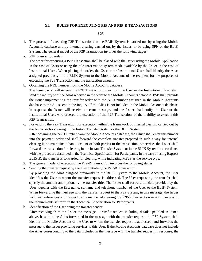#### **XI. RULES FOR EXECUTING P2P AND P2P-R TRANSACTIONS**

§ 23.

- 1. The process of executing P2P Transactions in the BLIK System is carried out by using the Mobile Accounts database and by internal clearing carried out by the Issuer, or by using SPN or the BLIK System. The general model of the P2P Transaction involves the following stages:
- a. P2P Transaction order

The order for executing a P2P Transaction shall be placed with the Issuer using the Mobile Application in the case of Users or using the tele-information system made available by the Issuer in the case of Institutional Users. When placing the order, the User or the Institutional User shall identify the Alias assigned previously in the BLIK System to the Mobile Account of the recipient for the purposes of executing the P2P Transaction and the transaction amount.

b. Obtaining the NRB number from the Mobile Accounts database

The Issuer, who will receive the P2P Transaction order from the User or the Institutional User, shall send the inquiry with the Alias received in the order to the Mobile Accounts database. PSP shall provide the Issuer implementing the transfer order with the NRB number assigned in the Mobile Accounts database to the Alias sent in the inquiry. If the Alias is not included in the Mobile Accounts database, in response the Issuer will receive an error message, and the Issuer shall notify the User or the Institutional User, who ordered the execution of the P2P Transaction, of the inability to execute this P2P Transaction.

c. Forwarding the P2P Transaction for execution within the framework of internal clearing carried out by the Issuer, or for clearing in the Instant Transfer System or the BLIK System. After obtaining the NRB number from the Mobile Accounts database, the Issuer shall enter this number into the payment order and shall forward the complete transfer prepared in such a way for internal clearing if he maintains a bank account of both parties to the transaction, otherwise, the Issuer shall forward the transaction for clearing in the Instant Transfer System or in the BLIK System in accordance with the procedure described in the Technical Specification for Participants. In the case of using Express ELIXIR, the transfer is forwarded for clearing, while indicating MP2P as the service type.

- 2. The general model of executing the P2P-R Transaction involves the following stages:
- a. Sending the transfer request by the User initiating the P2P-R Transaction.
- By providing the Alias assigned previously in the BLIK System to the Mobile Account, the User identifies the User to whom the transfer request is addressed. The User requesting the transfer shall specify the amount and optionally the transfer title. The Issuer shall forward the data provided by the User together with the first name, surname and telephone number of the User to the BLIK System. When forwarding the message with the transfer request to the PSP System, in this message, the Issuer includes preferences with respect to the manner of clearing the P2P-R Transaction in accordance with the requirements set forth in the Technical Specification for Participants.
- b. Identification of the User being the transfer sender

After receiving from the Issuer the message – transfer request including details specified in item a above, based on the Alias forwarded in the message with the transfer request, the PSP System shall identify the Mobile Account of the User to whom the transfer request is addressed, and forwards the message to the Issuer providing services to this User. If the Mobile Accounts database does not include the Alias corresponding to the data included in the message with the transfer request, in response, the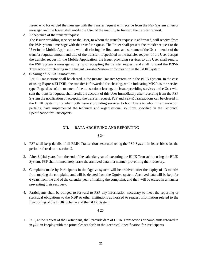Issuer who forwarded the message with the transfer request will receive from the PSP System an error message, and the Issuer shall notify the User of the inability to forward the transfer request.

c. Acceptance of the transfer request

The Issuer providing services to the User, to whom the transfer request is addressed, will receive from the PSP system a message with the transfer request. The Issuer shall present the transfer request to the User in the Mobile Application, while disclosing the first name and surname of the User – sender of the transfer request, amount and title of the transfer, if specified in the transfer request. If the User accepts the transfer request in the Mobile Application, the Issuer providing services to this User shall send to the PSP System a message notifying of accepting the transfer request, and shall forward the P2P-R Transaction for clearing in the Instant Transfer System or for clearing in the BLIK System.

d. Clearing of P2P-R Transactions

P2P-R Transactions shall be cleared in the Instant Transfer System or in the BLIK System. In the case of using Express ELIXIR, the transfer is forwarded for clearing, while indicating MP2P as the service type. Regardless of the manner of the transaction clearing, the Issuer providing services to the User who sent the transfer request, shall credit the account of this User immediately after receiving from the PSP System the notification of accepting the transfer request. P2P and P2P-R Transactions can be cleared in the BLIK System only when both Issuers providing services to both Users to whom the transaction pertains, have implemented the technical and organisational solutions specified in the Technical Specification for Participants.

# **XII. DATA ARCHIVING AND REPORTING**

§ 24.

- 1. PSP shall keep details of all BLIK Transactions executed using the PSP System in its archives for the period referred to in section 2.
- 2. After 6 (six) years from the end of the calendar year of executing the BLIK Transaction using the BLIK System, PSP shall immediately erase the archived data in a manner preventing their recovery.
- 3. Complains made by Participants in the Ognivo system will be archived after the expiry of 13 months from making the complaint, and will be deleted from the Ognivo system. Archived data will be kept for 6 years from the end of the calendar year of making the complaint, and then will be erased in a manner preventing their recovery.
- 4. Participants shall be obliged to forward to PSP any information necessary to meet the reporting or statistical obligations to the NBP or other institutions authorised to request information related to the functioning of the BLIK Scheme and the BLIK System.

§ 25.

1. PSP, at the request of the Participant, shall provide data of BLIK Transactions or complaints referred to in §24, in keeping with the principles set forth in the Technical Specification for Participants.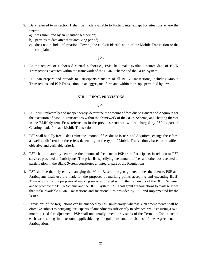- 2. Data referred to in section 1 shall be made available to Participants, except for situations where the request:
	- a) was submitted by an unauthorised person;
	- b) pertains to data after their archiving period;
	- c) does not include information allowing the explicit identification of the Mobile Transaction or the complaint.

§ 26.

- 1. At the request of authorised control authorities, PSP shall make available source data of BLIK Transactions executed within the framework of the BLIK Scheme and the BLIK System.
- 2. PSP can prepare and provide to Participants statistics of all BLIK Transactions, including Mobile Transactions and P2P Transaction, in an aggregated form and within the scope permitted by law.

# **XIII. FINAL PROVISIONS**

§ 27.

- 1. PSP will, unilaterally and independently, determine the amount of fees due to Issuers and Acquirers for the execution of Mobile Transactions within the framework of the BLIK Scheme, and clearing thereof in the BLIK System. Fees, referred to in the previous sentence, will be charged by PSP as part of Clearing made for each Mobile Transaction.
- 2. PSP shall be fully free to determine the amount of fees due to Issuers and Acquirers, change these fees, as well as differentiate these fees depending on the type of Mobile Transactions, based on justified, objective and verifiable criteria.
- 3. PSP shall unilaterally determine the amount of fees due to PSP from Participants in relation to PSP services provided to Participants. The price list specifying the amount of fees and other costs related to participation in the BLIK System constitutes an integral part of the Regulations.
- 4. PSP shall be the only entity managing the Mark. Based on rights granted under the licence, PSP and Participants shall use the mark for the purposes of marking points accepting and executing BLIK Transactions, for the purposes of marking services offered within the framework of the BLIK Scheme, and to promote the BLIK Scheme and the BLIK System. PSP shall grant authorisations to mark services that make available BLIK Transactions and functionalities provided by PSP and implemented by the Issuer.
- 5. Provisions of the Regulations can be amended by PSP unilaterally, whereas such amendments shall be effective subject to notifying Participants of amendments sufficiently in advance, while ensuring a twomonth period for adjustment. PSP shall unilaterally amend provisions of the Terms in Conditions in each case taking into account applicable legal regulations and provisions of the Agreement on Participation.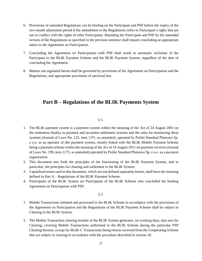- 6. Provisions of amended Regulations can be binding on the Participant and PSP before the expiry of the two-month adjustment period if the amendment to the Regulations refers to Participant's rights that are not in conflict with the rights of other Participants. Bounding the Participant and PSP by the amended version of the Regulations as specified in the previous sentence shall require concluding an appropriate annex to the Agreement on Participation.
- 7. Concluding the Agreement on Participation with PSP shall result in automatic inclusion of the Participant in the BLIK Payment Scheme and the BLIK Payment System, regardless of the date of concluding the Agreement.
- 8. Matters not regulated herein shall be governed by provisions of the Agreement on Participation and the Regulations, and appropriate provisions of universal law.

# **Part B – Regulations of the BLIK Payments System**

§ 1.

- 1. The BLIK payment system is a payment system within the meaning of the Act of 24 August 2001 on the settlement finality in payment and securities settlement systems and the rules for monitoring these systems (Journal of Laws No. 123, item 1351, as amended), operated by Polski Standard Płatności Sp. z o.o. as an operator of this payment system, closely linked with the BLIK Mobile Payment Scheme being a payment scheme within the meaning of the Act of 19 August 2011 on payment services (Journal of Laws No. 199, item 1175, as amended) operated by Polski Standard Płatności Sp. z o.o. as a payment organisation.
- 2. This document sets forth the principles of the functioning of the BLIK Payment System, and in particular, the principles for clearing and settlement in the BLIK System.
- 3. Capitalised terms used in this document, which are not defined separately herein, shall have the meaning defined in Part A – Regulations of the BLIK Payment Scheme.
- 4. Participants of the BLIK System are Participants of the BLIK Scheme who concluded the binding Agreement on Participation with PSP.

§ 2.

- 1. Mobile Transactions initiated and processed in the BLIK Scheme in accordance with the provisions of the Agreement on Participation and the Regulations of the BLIK Payment Scheme shall be subject to Clearing in the BLIK System.
- 2. The Mobile Transaction clearing module of the BLIK System generates, on working days, data sets for Clearing, covering Mobile Transactions authorised in the BLIK Scheme during the particular PSP Clearing Session, except for BLIK-C Transactions being returns received from the Cooperating Scheme that are subject to clearing in accordance with the procedure described in section 10.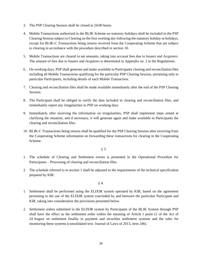- 3. The PSP Clearing Session shall be closed at 24:00 hours.
- 4. Mobile Transactions authorised in the BLIK Scheme on statutory holidays shall be included in the PSP Clearing Session subject to Clearing on the first working day following the statutory holiday or holidays, except for BLIK-C Transactions being returns received from the Cooperating Scheme that are subject to clearing in accordance with the procedure described in section 10.
- 5. Mobile Transactions are cleared in net amounts, taking into account fees due to Issuers and Acquirers. The amount of fees due to Issuers and Acquirers is determined in Appendix no. 2 to the Regulations.
- 6. On working days, PSP shall generate and make available to Participants clearing and reconciliation files including all Mobile Transactions qualifying for the particular PSP Clearing Session, pertaining only to particular Participants, including details of each Mobile Transaction.
- 7. Clearing and reconciliation files shall be made available immediately after the end of the PSP Clearing Session.
- 8. The Participant shall be obliged to verify the data included in clearing and reconciliation files, and immediately report any irregularities to PSP on working days.
- 9. Immediately after receiving the information on irregularities, PSP shall implement steps aimed at clarifying the situation, and if necessary, it will generate again and make available to Participants the clearing and reconciliation files.
- 10. BLIK-C Transactions being returns shall be qualified for the PSP Clearing Session after receiving from the Cooperating Scheme information on forwarding these transactions for clearing in the Cooperating Scheme.

§ 3.

- 1. The schedule of Clearing and Settlement events is presented in the Operational Procedure for Participants – Processing of clearing and reconciliation files.
- 2. The schedule referred to in section 1 shall be adjusted to the requirements of the technical specification prepared by KIR.

§ 4.

- 1. Settlement shall be performed using the ELIXIR system operated by KIR, based on the agreement pertaining to the use of the ELIXIR system concluded by and between the particular Participant and KIR, taking into consideration the provisions presented below.
- 2. Settlement orders submitted in the ELIXIR system by Participants of the BLIK System through PSP shall have the effect as the settlement order within the meaning of Article 1 point 12 of the Act of 24 August on settlement finality in payment and securities settlement systems and the rules for monitoring these systems (consolidated text: Journal of Laws of 2013, item 246).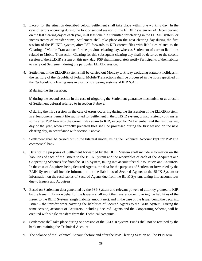- 3. Except for the situation described below, Settlement shall take place within one working day. In the case of errors occurring during the first or second session of the ELIXIR system on 24 December and on the last clearing day of each year, in at least one file submitted for clearing in the ELIXIR system, or inconsistency of transfer sums, Settlement shall take place on the next clearing day during the first session of the ELIXIR system, after PSP forwards to KIR correct files with liabilities related to the Clearing of Mobile Transactions for the previous clearing day, whereas Settlement of current liabilities related to Mobile Transaction Clearing for this subsequent clearing day shall be deferred to the second session of the ELIXIR system on this next day. PSP shall immediately notify Participants of the inability to carry out Settlement during the particular ELIXIR session.
- 4. Settlement in the ELIXIR system shall be carried out Monday to Friday excluding statutory holidays in the territory of the Republic of Poland. Mobile Transactions shall be processed in the hours specified in the "Schedule of clearing runs in electronic clearing systems of KIR S.A.":

a) during the first session;

b) during the second session in the case of triggering the Settlement guarantee mechanism or as a result of Settlement deferral referred to in section 3 above;

c) during the third session, in the case of errors occurring during the first session of the ELIXIR system, in at least one settlement file submitted for Settlement in the ELIXIR system, or inconsistency of transfer sums after PSP forwards the correct files again to KIR, except for 24 December and the last clearing day of the year, when correctly prepared files shall be processed during the first session on the next clearing day, in accordance with section 3 above.

- 5. Settlement shall be carried out in the bilateral model, using the Technical Account kept for PSP at a commercial bank.
- 6. Data for the purposes of Settlement forwarded by the BLIK System shall include information on the liabilities of each of the Issuers to the BLIK System and the receivables of each of the Acquirers and Cooperating Schemes due from the BLIK System, taking into account fees due to Issuers and Acquirers. In the case of Acquirers being Secured Agents, the data for the purposes of Settlement forwarded by the BLIK System shall include information on the liabilities of Secured Agents to the BLIK System or information on the receivables of Secured Agents due from the BLIK System, taking into account fees due to Issuers and Acquirers.
- 7. Based on Settlement data generated by the PSP System and relevant powers of attorney granted to KIR by the Issuer, KIR – on behalf of the Issuer – shall input the transfer order covering the liabilities of the Issuer to the BLIK System (single liability amount net), and in the case of the Issuer being the Securing Issuer – the transfer order covering the liabilities of Secured Agents to the BLIK System. During the same session, accounts of Acquirers, including Secured Agents and the Cooperating Scheme, will be credited with single transfers from the Technical Accounts.
- 8. Settlement shall take place during one session of the ELIXIR system. Funds shall not be retained by the bank maintaining the Technical Account.
- 9. The balance of the Technical Account before and after the PSP Clearing Session will be PLN zero.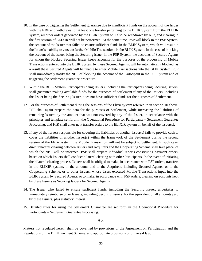- 10. In the case of triggering the Settlement guarantee due to insufficient funds on the account of the Issuer with the NBP and withdrawal of at least one transfer pertaining to the BLIK System from the ELIXIR system, all other orders generated by the BLIK System will also be withdrawn by KIR, and clearing in the first session of ELIXIR will not be performed. At the same time, PSP will block in the PSP System, the account of the Issuer that failed to ensure sufficient funds in the BLIK System, which will result in the Issuer's inability to execute further Mobile Transactions in the BLIK System. In the case of blocking the account of the Issuer being the Securing Issuer in the PSP System, the accounts of Secured Agents for whom the blocked Securing Issuer keeps accounts for the purposes of the processing of Mobile Transactions entered into the BLIK System by these Secured Agents, will be automatically blocked, as a result these Secured Agents will be unable to enter Mobile Transactions into the BLIK System. PSP shall immediately notify the NBP of blocking the account of the Participant in the PSP System and of triggering the settlement guarantee procedure.
- 11. Within the BLIK System, Participants being Issuers, including the Participants being Securing Issuers, shall guarantee making available funds for the purposes of Settlement if any of the Issuers, including the Issuer being the Securing Issuer, does not have sufficient funds for the purposes of Settlement.
- 12. For the purposes of Settlement during the sessions of the Elixir system referred to in section 10 above, PSP shall again prepare the data for the purposes of Settlement, while increasing the liabilities of remaining Issuers by the amount that was not covered by any of the Issuer, in accordance with the principles and template set forth in the Operational Procedure for Participants – Settlement Guarantee Processing, and KIR shall enter new transfer orders to the ELIXIR system on behalf of the Issuer(s).
- 13. If any of the Issuers responsible for covering the liabilities of another Issuer(s) fails to provide cash to cover the liabilities of another Issuer(s) within the framework of the Settlement during the second session of the Elixir system, the Mobile Transaction will not be subject to Settlement. In such case, direct bilateral clearing between Issuers and Acquirers and the Cooperating Scheme shall take place, of which the NBP will be informed. PSP shall prepare individual reports constituting payment orders, based on which Issuers shall conduct bilateral clearing with other Participants. In the event of initiating the bilateral clearing process, Issuers shall be obliged to make, in accordance with PSP orders, transfers in the ELIXIR system, in the amounts and to the Acquirers, including Secured Agents, or to the Cooperating Scheme, or to other Issuers, whose Users executed Mobile Transactions input into the BLIK System by Secured Agents, or to make, in accordance with PSP orders, clearing on accounts kept by these Issuers as Securing Issuers for Secured Agents.
- 14. The Issuer who failed to ensure sufficient funds, including the Securing Issuer, undertakes to immediately reimburse other Issuers, including Securing Issuers, for the equivalent of all amounts paid by these Issuers, plus statutory interest.
- 15. Detailed rules for using the Settlement Guarantee are set forth in the Operational Procedure for Participants – Settlement Guarantee Processing.

§ 5.

Matters not regulated herein shall be governed by provisions of the Agreement on Participation and the Regulations of the BLIK Payment Scheme, and appropriate provisions of universal law.